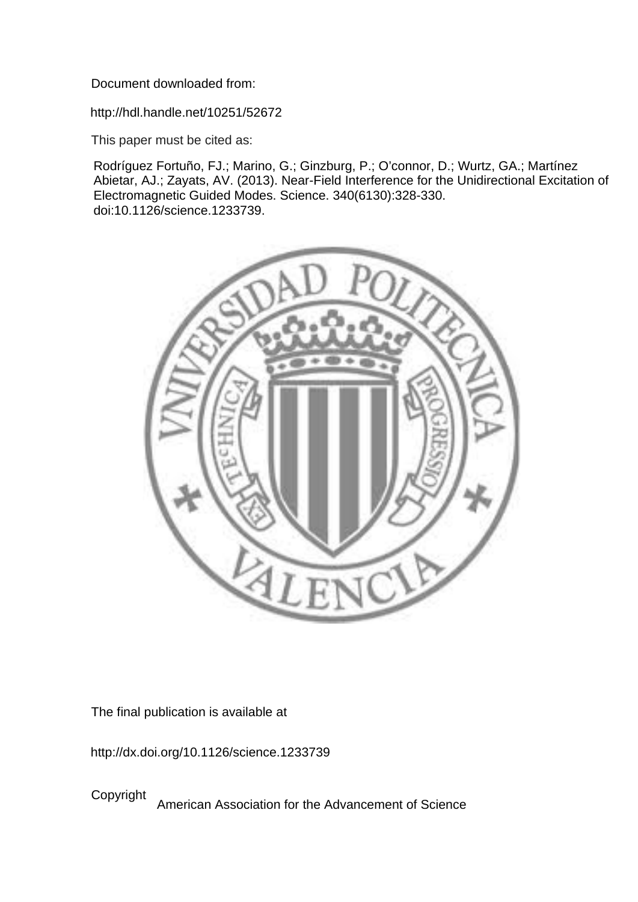Document downloaded from:

http://hdl.handle.net/10251/52672

This paper must be cited as:

Rodríguez Fortuño, FJ.; Marino, G.; Ginzburg, P.; O'connor, D.; Wurtz, GA.; Martínez Abietar, AJ.; Zayats, AV. (2013). Near-Field Interference for the Unidirectional Excitation of Electromagnetic Guided Modes. Science. 340(6130):328-330. doi:10.1126/science.1233739.



The final publication is available at

http://dx.doi.org/10.1126/science.1233739

Copyright American Association for the Advancement of Science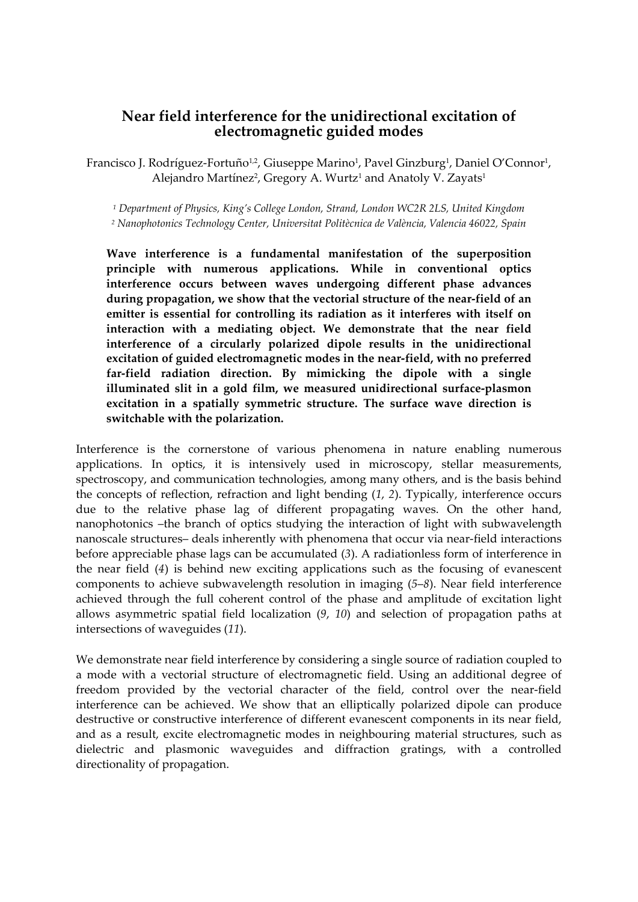## **Near field interference for the unidirectional excitation of electromagnetic guided modes**

Francisco J. Rodríguez-Fortuño<sup>1,2</sup>, Giuseppe Marino<sup>1</sup>, Pavel Ginzburg<sup>1</sup>, Daniel O'Connor<sup>1</sup>, Alejandro Martínez<sup>2</sup>, Gregory A. Wurtz<sup>1</sup> and Anatoly V. Zayats<sup>1</sup>

*<sup>1</sup> Department of Physics, King's College London, Strand, London WC2R 2LS, United Kingdom*

*<sup>2</sup> Nanophotonics Technology Center, Universitat Politècnica de València, Valencia 46022, Spain*

**Wave interference is a fundamental manifestation of the superposition principle with numerous applications. While in conventional optics interference occurs between waves undergoing different phase advances during propagation, we show that the vectorial structure of the near‐field of an emitter is essential for controlling its radiation as it interferes with itself on interaction with a mediating object. We demonstrate that the near field interference of a circularly polarized dipole results in the unidirectional excitation of guided electromagnetic modes in the near‐field, with no preferred far‐field radiation direction. By mimicking the dipole with a single illuminated slit in a gold film, we measured unidirectional surface‐plasmon excitation in a spatially symmetric structure. The surface wave direction is switchable with the polarization.**

Interference is the cornerstone of various phenomena in nature enabling numerous applications. In optics, it is intensively used in microscopy, stellar measurements, spectroscopy, and communication technologies, among many others, and is the basis behind the concepts of reflection, refraction and light bending (*1*, *2*). Typically, interference occurs due to the relative phase lag of different propagating waves. On the other hand, nanophotonics –the branch of optics studying the interaction of light with subwavelength nanoscale structures– deals inherently with phenomena that occur via near-field interactions before appreciable phase lags can be accumulated (*3*). A radiationless form of interference in the near field (*4*) is behind new exciting applications such as the focusing of evanescent components to achieve subwavelength resolution in imaging (*5*–*8*). Near field interference achieved through the full coherent control of the phase and amplitude of excitation light allows asymmetric spatial field localization (*9*, *10*) and selection of propagation paths at intersections of waveguides (*11*).

We demonstrate near field interference by considering a single source of radiation coupled to a mode with a vectorial structure of electromagnetic field. Using an additional degree of freedom provided by the vectorial character of the field, control over the near-field interference can be achieved. We show that an elliptically polarized dipole can produce destructive or constructive interference of different evanescent components in its near field, and as a result, excite electromagnetic modes in neighbouring material structures, such as dielectric and plasmonic waveguides and diffraction gratings, with a controlled directionality of propagation.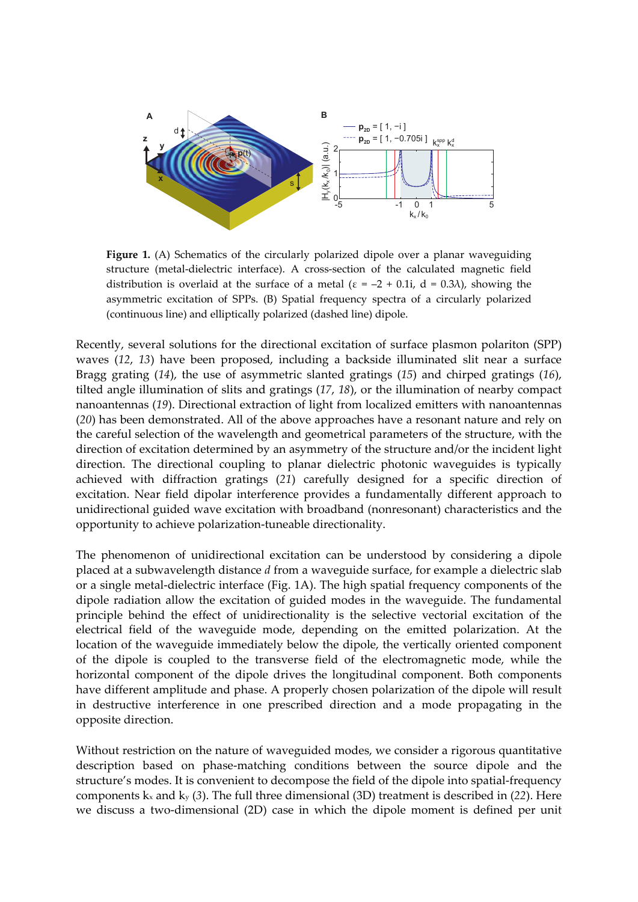

**Figure 1.** (A) Schematics of the circularly polarized dipole over a planar waveguiding structure (metal‐dielectric interface). A cross‐section of the calculated magnetic field distribution is overlaid at the surface of a metal ( $\varepsilon = -2 + 0.1$ i, d = 0.3 $\lambda$ ), showing the asymmetric excitation of SPPs. (B) Spatial frequency spectra of a circularly polarized (continuous line) and elliptically polarized (dashed line) dipole.

Recently, several solutions for the directional excitation of surface plasmon polariton (SPP) waves (*12*, *13*) have been proposed, including a backside illuminated slit near a surface Bragg grating (*14*), the use of asymmetric slanted gratings (*15*) and chirped gratings (*16*), tilted angle illumination of slits and gratings (*17*, *18*), or the illumination of nearby compact nanoantennas (*19*). Directional extraction of light from localized emitters with nanoantennas (*20*) has been demonstrated. All of the above approaches have a resonant nature and rely on the careful selection of the wavelength and geometrical parameters of the structure, with the direction of excitation determined by an asymmetry of the structure and/or the incident light direction. The directional coupling to planar dielectric photonic waveguides is typically achieved with diffraction gratings (*21*) carefully designed for a specific direction of excitation. Near field dipolar interference provides a fundamentally different approach to unidirectional guided wave excitation with broadband (nonresonant) characteristics and the opportunity to achieve polarization‐tuneable directionality.

The phenomenon of unidirectional excitation can be understood by considering a dipole placed at a subwavelength distance *d* from a waveguide surface, for example a dielectric slab or a single metal‐dielectric interface (Fig. 1A). The high spatial frequency components of the dipole radiation allow the excitation of guided modes in the waveguide. The fundamental principle behind the effect of unidirectionality is the selective vectorial excitation of the electrical field of the waveguide mode, depending on the emitted polarization. At the location of the waveguide immediately below the dipole, the vertically oriented component of the dipole is coupled to the transverse field of the electromagnetic mode, while the horizontal component of the dipole drives the longitudinal component. Both components have different amplitude and phase. A properly chosen polarization of the dipole will result in destructive interference in one prescribed direction and a mode propagating in the opposite direction.

Without restriction on the nature of waveguided modes, we consider a rigorous quantitative description based on phase‐matching conditions between the source dipole and the structure's modes. It is convenient to decompose the field of the dipole into spatial‐frequency components kx and ky (*3*). The full three dimensional (3D) treatment is described in (*22*). Here we discuss a two-dimensional (2D) case in which the dipole moment is defined per unit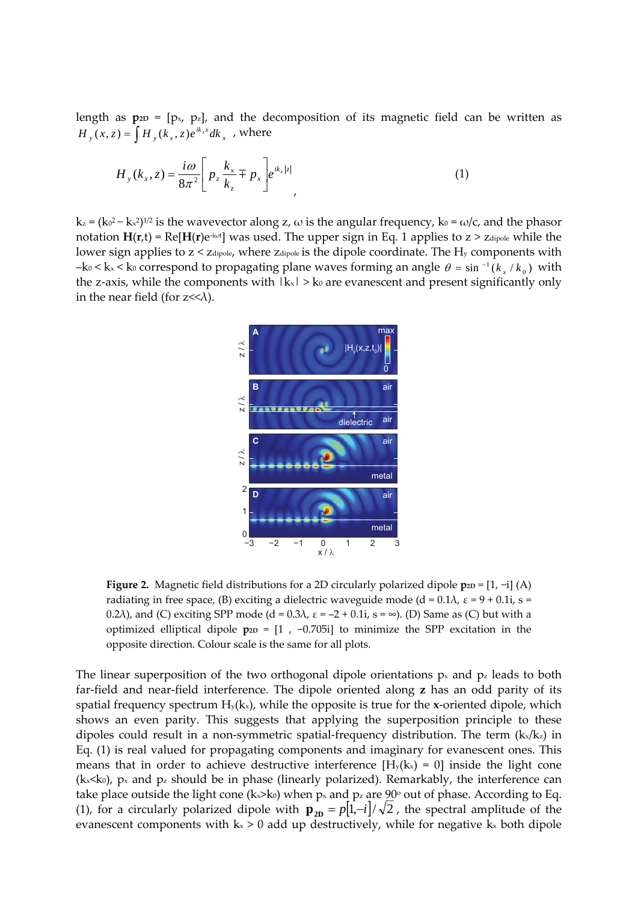length as  $p_{2D} = [p_x, p_z]$ , and the decomposition of its magnetic field can be written as  $H_y(x, z) = \int H_y(k_x, z)e^{ik_x x} dk_x$ , where

$$
H_{y}(k_{x}, z) = \frac{i\omega}{8\pi^{2}} \left[ p_{z} \frac{k_{x}}{k_{z}} \mp p_{x} \right] e^{ik_{z}|z|}, \tag{1}
$$

 $k_z = (k_0^2 - k_x^2)^{1/2}$  is the wavevector along z,  $\omega$  is the angular frequency,  $k_0 = \omega/c$ , and the phasor notation **H**(**r**,t) = Re[**H**(**r**)e‐iω<sup>t</sup> ] was used. The upper sign in Eq. 1 applies to z > zdipole while the lower sign applies to  $z < z$  dipole, where  $z$  dipole is the dipole coordinate. The  $H<sub>y</sub>$  components with  $-$ k<sub>0</sub>  $\lt$  k<sub>x</sub>  $\lt$  k<sub>0</sub> correspond to propagating plane waves forming an angle  $\theta = \sin^{-1}(k_x / k_0)$  with the z-axis, while the components with  $|k_x| > k_0$  are evanescent and present significantly only in the near field (for  $z \ll \lambda$ ).



**Figure 2.** Magnetic field distributions for a 2D circularly polarized dipole **p**<sub>2D</sub> = [1, −i] (A) radiating in free space, (B) exciting a dielectric waveguide mode (d =  $0.1\lambda$ ,  $\varepsilon$  =  $9 + 0.1i$ , s = 0.2 $\lambda$ ), and (C) exciting SPP mode (d = 0.3 $\lambda$ ,  $\varepsilon$  = -2 + 0.1i, s =  $\infty$ ). (D) Same as (C) but with a optimized elliptical dipole  $p_{2D} = [1, -0.705i]$  to minimize the SPP excitation in the opposite direction. Colour scale is the same for all plots.

The linear superposition of the two orthogonal dipole orientations  $p_x$  and  $p_z$  leads to both far‐field and near‐field interference. The dipole oriented along **z** has an odd parity of its spatial frequency spectrum  $H_y(kx)$ , while the opposite is true for the **x**-oriented dipole, which shows an even parity. This suggests that applying the superposition principle to these dipoles could result in a non-symmetric spatial-frequency distribution. The term  $(k_x/k_z)$  in Eq. (1) is real valued for propagating components and imaginary for evanescent ones. This means that in order to achieve destructive interference  $[H_y(kx) = 0]$  inside the light cone  $(k \times k_0)$ ,  $p \times$  and  $p \times$  should be in phase (linearly polarized). Remarkably, the interference can take place outside the light cone (k<sub>x</sub>>k<sub>0</sub>) when p<sub>x</sub> and p<sub>z</sub> are  $90^{\circ}$  out of phase. According to Eq. (1), for a circularly polarized dipole with  $\mathbf{p}_{2D} = p[1,-i]/\sqrt{2}$ , the spectral amplitude of the evanescent components with  $k_x > 0$  add up destructively, while for negative  $k_x$  both dipole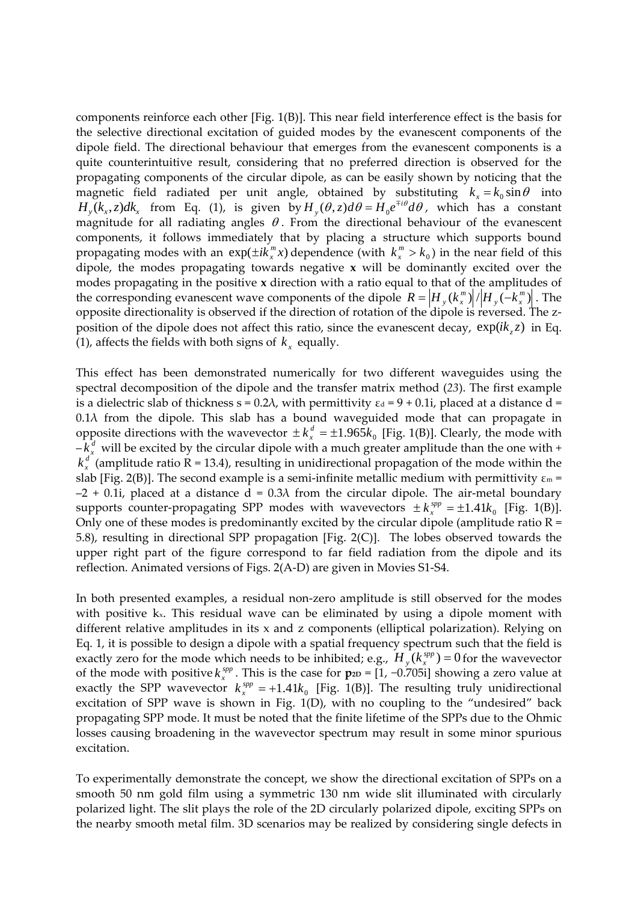components reinforce each other [Fig. 1(B)]. This near field interference effect is the basis for the selective directional excitation of guided modes by the evanescent components of the dipole field. The directional behaviour that emerges from the evanescent components is a quite counterintuitive result, considering that no preferred direction is observed for the propagating components of the circular dipole, as can be easily shown by noticing that the magnetic field radiated per unit angle, obtained by substituting  $k_x = k_0 \sin \theta$  into  $H_y(k_x, z)dk_x$  from Eq. (1), is given by  $H_y(\theta, z)d\theta = H_0e^{\mp i\theta}d\theta$ , which has a constant magnitude for all radiating angles  $\theta$ . From the directional behaviour of the evanescent components, it follows immediately that by placing a structure which supports bound propagating modes with an  $exp(\pm ik_x^m x)$  dependence (with  $k_x^m > k_0$ ) in the near field of this dipole, the modes propagating towards negative **x** will be dominantly excited over the modes propagating in the positive **x** direction with a ratio equal to that of the amplitudes of the corresponding evanescent wave components of the dipole  $R = \left| H_y(k_x^m) \right| / \left| H_y(-k_x^m) \right|$  $R = \left| H_{y} \left( k_{x}^{m} \right) \right| / \left| H_{y} \left( - k_{x}^{m} \right) \right|$  . The opposite directionality is observed if the direction of rotation of the dipole is reversed. The z‐ position of the dipole does not affect this ratio, since the evanescent decay,  $exp(ik_z z)$  in Eq. (1), affects the fields with both signs of  $k_x$  equally.

This effect has been demonstrated numerically for two different waveguides using the spectral decomposition of the dipole and the transfer matrix method (*23*). The first example is a dielectric slab of thickness  $s = 0.2\lambda$ , with permittivity  $\epsilon_d = 9 + 0.1i$ , placed at a distance d =  $0.1\lambda$  from the dipole. This slab has a bound waveguided mode that can propagate in opposite directions with the wavevector  $\pm k_x^d = \pm 1.965k_0$  [Fig. 1(B)]. Clearly, the mode with  $-k_x^d$  will be excited by the circular dipole with a much greater amplitude than the one with +  $k_x^d$  (amplitude ratio R = 13.4), resulting in unidirectional propagation of the mode within the slab [Fig. 2(B)]. The second example is a semi-infinite metallic medium with permittivity  $\varepsilon_m$  =  $-2 + 0.1$ i, placed at a distance d = 0.3 $\lambda$  from the circular dipole. The air-metal boundary supports counter-propagating SPP modes with wavevectors  $\pm k_x^{app} = \pm 1.41 k_0$  [Fig. 1(B)]. Only one of these modes is predominantly excited by the circular dipole (amplitude ratio  $R =$ 5.8), resulting in directional SPP propagation [Fig. 2(C)]. The lobes observed towards the upper right part of the figure correspond to far field radiation from the dipole and its reflection. Animated versions of Figs. 2(A‐D) are given in Movies S1‐S4.

In both presented examples, a residual non-zero amplitude is still observed for the modes with positive  $k<sub>x</sub>$ . This residual wave can be eliminated by using a dipole moment with different relative amplitudes in its x and z components (elliptical polarization). Relying on Eq. 1, it is possible to design a dipole with a spatial frequency spectrum such that the field is exactly zero for the mode which needs to be inhibited; e.g.,  $H_y(k_x^{spp}) = 0$  for the wavevector of the mode with positive  $k_x^{sp}$ . This is the case for  $\mathbf{p}_{2D}$  = [1, −0.705i] showing a zero value at exactly the SPP wavevector  $k_x^{app} = +1.41k_0$  [Fig. 1(B)]. The resulting truly unidirectional excitation of SPP wave is shown in Fig. 1(D), with no coupling to the "undesired" back propagating SPP mode. It must be noted that the finite lifetime of the SPPs due to the Ohmic losses causing broadening in the wavevector spectrum may result in some minor spurious excitation.

To experimentally demonstrate the concept, we show the directional excitation of SPPs on a smooth 50 nm gold film using a symmetric 130 nm wide slit illuminated with circularly polarized light. The slit plays the role of the 2D circularly polarized dipole, exciting SPPs on the nearby smooth metal film. 3D scenarios may be realized by considering single defects in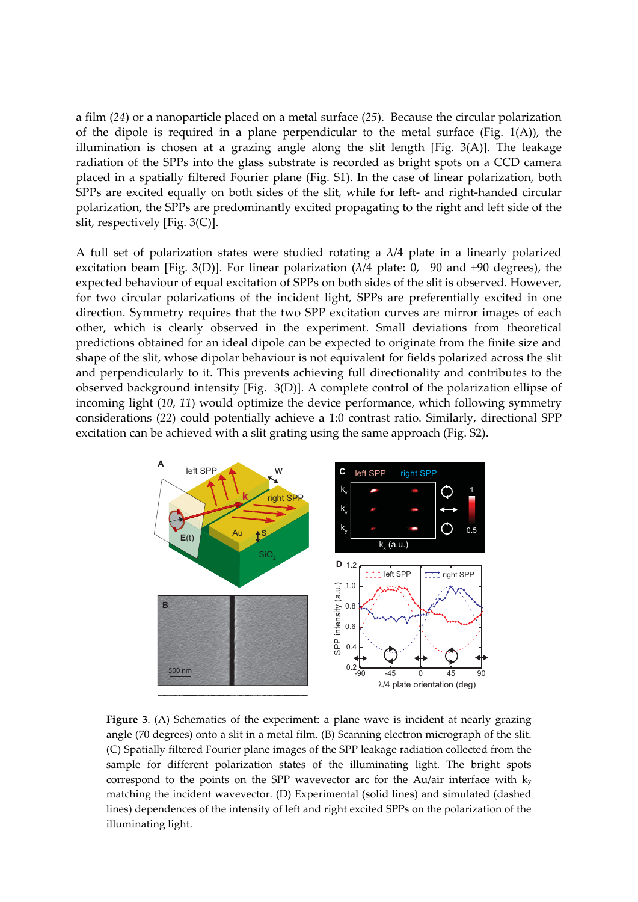a film (*24*) or a nanoparticle placed on a metal surface (*25*). Because the circular polarization of the dipole is required in a plane perpendicular to the metal surface (Fig. 1(A)), the illumination is chosen at a grazing angle along the slit length [Fig. 3(A)]. The leakage radiation of the SPPs into the glass substrate is recorded as bright spots on a CCD camera placed in a spatially filtered Fourier plane (Fig. S1). In the case of linear polarization, both SPPs are excited equally on both sides of the slit, while for left- and right-handed circular polarization, the SPPs are predominantly excited propagating to the right and left side of the slit, respectively [Fig. 3(C)].

A full set of polarization states were studied rotating a  $\lambda/4$  plate in a linearly polarized excitation beam [Fig. 3(D)]. For linear polarization  $(\lambda/4$  plate: 0, 90 and +90 degrees), the expected behaviour of equal excitation of SPPs on both sides of the slit is observed. However, for two circular polarizations of the incident light, SPPs are preferentially excited in one direction. Symmetry requires that the two SPP excitation curves are mirror images of each other, which is clearly observed in the experiment. Small deviations from theoretical predictions obtained for an ideal dipole can be expected to originate from the finite size and shape of the slit, whose dipolar behaviour is not equivalent for fields polarized across the slit and perpendicularly to it. This prevents achieving full directionality and contributes to the observed background intensity [Fig. 3(D)]. A complete control of the polarization ellipse of incoming light (*10*, *11*) would optimize the device performance, which following symmetry considerations (*22*) could potentially achieve a 1:0 contrast ratio. Similarly, directional SPP excitation can be achieved with a slit grating using the same approach (Fig. S2).



**Figure 3**. (A) Schematics of the experiment: a plane wave is incident at nearly grazing angle (70 degrees) onto a slit in a metal film. (B) Scanning electron micrograph of the slit. (C) Spatially filtered Fourier plane images of the SPP leakage radiation collected from the sample for different polarization states of the illuminating light. The bright spots correspond to the points on the SPP wavevector arc for the Au/air interface with ky matching the incident wavevector. (D) Experimental (solid lines) and simulated (dashed lines) dependences of the intensity of left and right excited SPPs on the polarization of the illuminating light.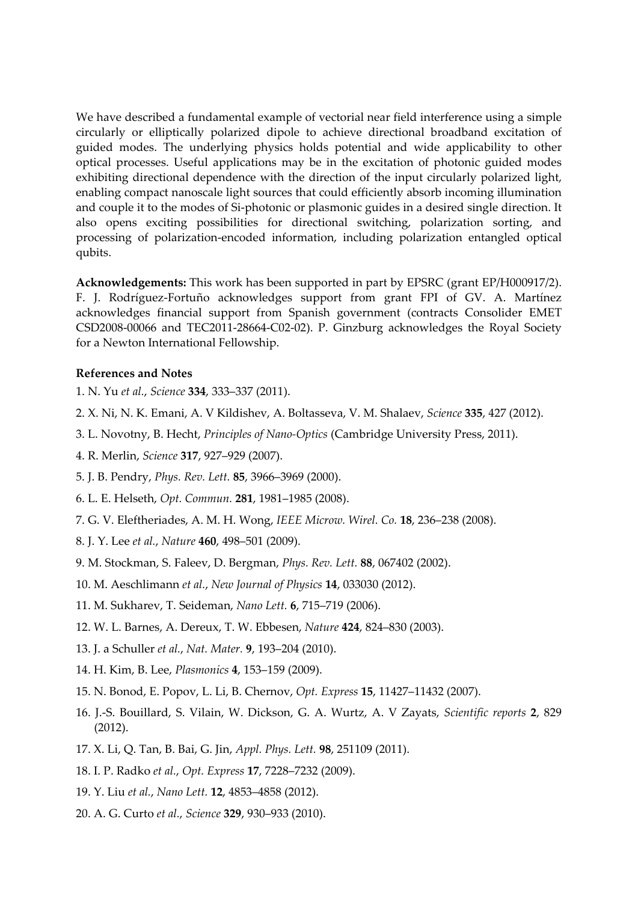We have described a fundamental example of vectorial near field interference using a simple circularly or elliptically polarized dipole to achieve directional broadband excitation of guided modes. The underlying physics holds potential and wide applicability to other optical processes. Useful applications may be in the excitation of photonic guided modes exhibiting directional dependence with the direction of the input circularly polarized light, enabling compact nanoscale light sources that could efficiently absorb incoming illumination and couple it to the modes of Si‐photonic or plasmonic guides in a desired single direction. It also opens exciting possibilities for directional switching, polarization sorting, and processing of polarization‐encoded information, including polarization entangled optical qubits.

**Acknowledgements:** This work has been supported in part by EPSRC (grant EP/H000917/2). F. J. Rodríguez‐Fortuño acknowledges support from grant FPI of GV. A. Martínez acknowledges financial support from Spanish government (contracts Consolider EMET CSD2008‐00066 and TEC2011‐28664‐C02‐02). P. Ginzburg acknowledges the Royal Society for a Newton International Fellowship.

## **References and Notes**

- 1. N. Yu *et al.*, *Science* **334**, 333–337 (2011).
- 2. X. Ni, N. K. Emani, A. V Kildishev, A. Boltasseva, V. M. Shalaev, *Science* **335**, 427 (2012).
- 3. L. Novotny, B. Hecht, *Principles of Nano‐Optics* (Cambridge University Press, 2011).
- 4. R. Merlin, *Science* **317**, 927–929 (2007).
- 5. J. B. Pendry, *Phys. Rev. Lett.* **85**, 3966–3969 (2000).
- 6. L. E. Helseth, *Opt. Commun.* **281**, 1981–1985 (2008).
- 7. G. V. Eleftheriades, A. M. H. Wong, *IEEE Microw. Wirel. Co.* **18**, 236–238 (2008).
- 8. J. Y. Lee *et al.*, *Nature* **460**, 498–501 (2009).
- 9. M. Stockman, S. Faleev, D. Bergman, *Phys. Rev. Lett.* **88**, 067402 (2002).
- 10. M. Aeschlimann *et al.*, *New Journal of Physics* **14**, 033030 (2012).
- 11. M. Sukharev, T. Seideman, *Nano Lett.* **6**, 715–719 (2006).
- 12. W. L. Barnes, A. Dereux, T. W. Ebbesen, *Nature* **424**, 824–830 (2003).
- 13. J. a Schuller *et al.*, *Nat. Mater.* **9**, 193–204 (2010).
- 14. H. Kim, B. Lee, *Plasmonics* **4**, 153–159 (2009).
- 15. N. Bonod, E. Popov, L. Li, B. Chernov, *Opt. Express* **15**, 11427–11432 (2007).
- 16. J.‐S. Bouillard, S. Vilain, W. Dickson, G. A. Wurtz, A. V Zayats, *Scientific reports* **2**, 829 (2012).
- 17. X. Li, Q. Tan, B. Bai, G. Jin, *Appl. Phys. Lett.* **98**, 251109 (2011).
- 18. I. P. Radko *et al.*, *Opt. Express* **17**, 7228–7232 (2009).
- 19. Y. Liu *et al.*, *Nano Lett.* **12**, 4853–4858 (2012).
- 20. A. G. Curto *et al.*, *Science* **329**, 930–933 (2010).